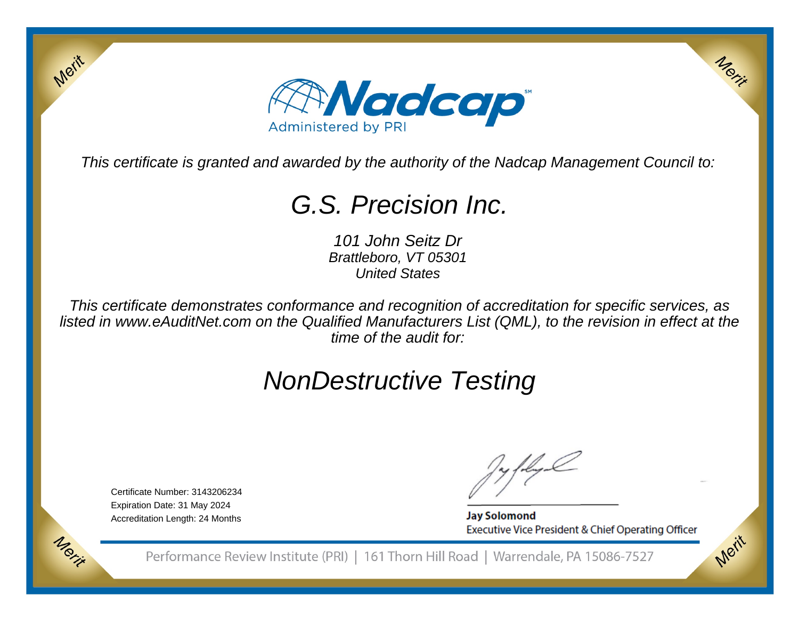

This certificate is granted and awarded by the authority of the Nadcap Management Council to:

## G.S. Precision Inc.

101 John Seitz Dr Brattleboro, VT 05301United States

This certificate demonstrates conformance and recognition of accreditation for specific services, as listed in www.eAuditNet.com on the Qualified Manufacturers List (QML), to the revision in effect at thetime of the audit for:

# NonDestructive Testing

Certificate Number: 3143206234Expiration Date: 31 May 2024Accreditation Length: 24 Months

Merit

Morie

**Jay Solomond** Executive Vice President & Chief Operating Officer Merit

Merit

Performance Review Institute (PRI) | 161 Thorn Hill Road | Warrendale, PA 15086-7527